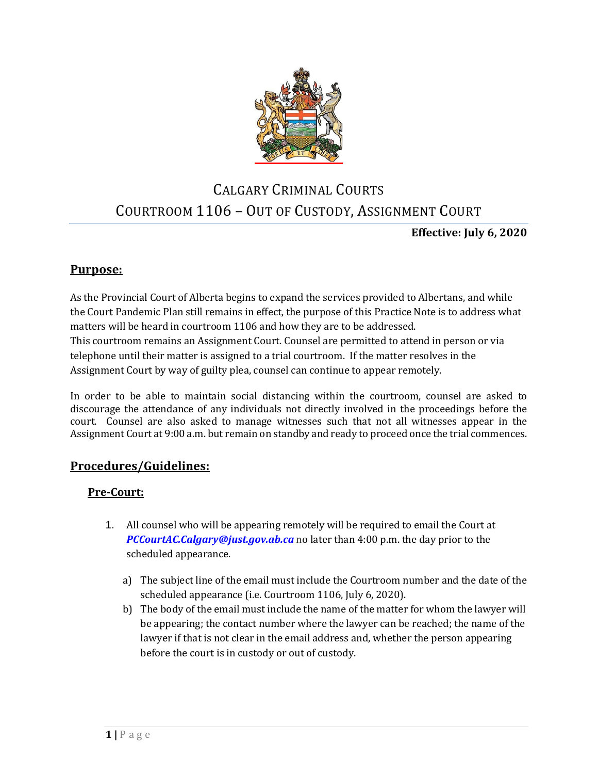

# CALGARY CRIMINAL COURTS COURTROOM 1106 – OUT OF CUSTODY, ASSIGNMENT COURT

## **Effective: July 6, 2020**

## **Purpose:**

As the Provincial Court of Alberta begins to expand the services provided to Albertans, and while the Court Pandemic Plan still remains in effect, the purpose of this Practice Note is to address what matters will be heard in courtroom 1106 and how they are to be addressed. This courtroom remains an Assignment Court. Counsel are permitted to attend in person or via telephone until their matter is assigned to a trial courtroom. If the matter resolves in the Assignment Court by way of guilty plea, counsel can continue to appear remotely.

In order to be able to maintain social distancing within the courtroom, counsel are asked to discourage the attendance of any individuals not directly involved in the proceedings before the court. Counsel are also asked to manage witnesses such that not all witnesses appear in the Assignment Court at 9:00 a.m. but remain on standby and ready to proceed once the trial commences.

## **Procedures/Guidelines:**

## **Pre-Court:**

- 1. All counsel who will be appearing remotely will be required to email the Court at *PCCourtAC.Calgary@just.gov.ab.ca* no later than 4:00 p.m. the day prior to the scheduled appearance.
	- a) The subject line of the email must include the Courtroom number and the date of the scheduled appearance (i.e. Courtroom 1106, July 6, 2020).
	- b) The body of the email must include the name of the matter for whom the lawyer will be appearing; the contact number where the lawyer can be reached; the name of the lawyer if that is not clear in the email address and, whether the person appearing before the court is in custody or out of custody.